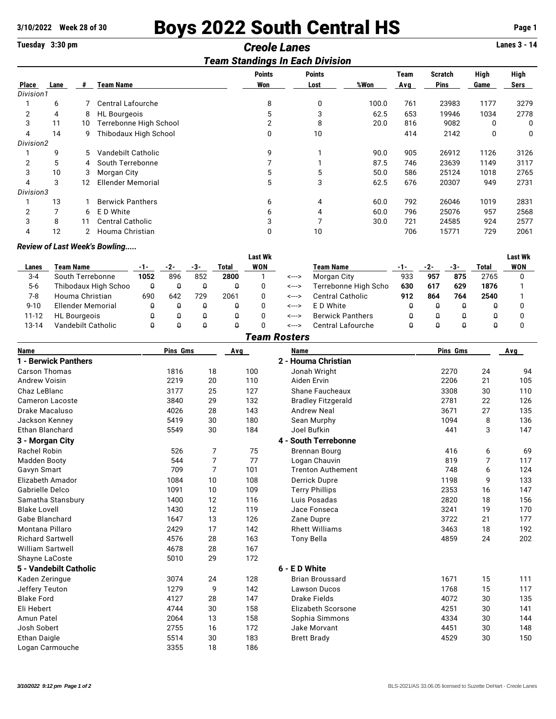# **3/10/2022 Week 28 of 30 Boys 2022 South Central HS Page 1**

## **Tuesday 3:30 pm** *Creole Lanes* **Lanes 3 - 14**

### *Team Standings In Each Division*

|           | ream otanumys in Lach Division |    |                          |               |               |       |      |             |      |      |  |  |  |
|-----------|--------------------------------|----|--------------------------|---------------|---------------|-------|------|-------------|------|------|--|--|--|
|           |                                |    |                          | <b>Points</b> | <b>Points</b> |       | Team | Scratch     | High | High |  |  |  |
| Place     | Lane                           | #  | <b>Team Name</b>         | Won           | Lost          | %Won  | Avg  | <b>Pins</b> | Game | Sers |  |  |  |
| Division1 |                                |    |                          |               |               |       |      |             |      |      |  |  |  |
|           | 6                              |    | <b>Central Lafourche</b> | 8             | 0             | 100.0 | 761  | 23983       | 1177 | 3279 |  |  |  |
| 2         | 4                              | 8  | <b>HL</b> Bourgeois      | 5             | 3             | 62.5  | 653  | 19946       | 1034 | 2778 |  |  |  |
| 3         | 11                             | 10 | Terrebonne High School   |               | 8             | 20.0  | 816  | 9082        |      | 0    |  |  |  |
| 4         | 14                             | 9  | Thibodaux High School    | 0             | 10            |       | 414  | 2142        | 0    | 0    |  |  |  |
| Division2 |                                |    |                          |               |               |       |      |             |      |      |  |  |  |
|           | 9                              | 5  | Vandebilt Catholic       | 9             |               | 90.0  | 905  | 26912       | 1126 | 3126 |  |  |  |
| 2         | 5                              | 4  | South Terrebonne         |               |               | 87.5  | 746  | 23639       | 1149 | 3117 |  |  |  |
| 3         | 10                             | 3  | Morgan City              | 5             | 5             | 50.0  | 586  | 25124       | 1018 | 2765 |  |  |  |
| 4         | 3                              | 12 | <b>Ellender Memorial</b> | 5             | 3             | 62.5  | 676  | 20307       | 949  | 2731 |  |  |  |
| Division3 |                                |    |                          |               |               |       |      |             |      |      |  |  |  |
|           | 13                             |    | <b>Berwick Panthers</b>  | 6             | 4             | 60.0  | 792  | 26046       | 1019 | 2831 |  |  |  |
| 2         |                                | 6  | E D White                | 6             |               | 60.0  | 796  | 25076       | 957  | 2568 |  |  |  |
| 3         | 8                              | 11 | <b>Central Catholic</b>  | 3             |               | 30.0  | 721  | 24585       | 924  | 2577 |  |  |  |
| 4         | 12                             |    | Houma Christian          | 0             | 10            |       | 706  | 15771       | 729  | 2061 |  |  |  |

#### *Review of Last Week's Bowling.....*

|           |                      |      |     |     |       | Last Wk |       |                         |     |     |     |       | Last Wk |
|-----------|----------------------|------|-----|-----|-------|---------|-------|-------------------------|-----|-----|-----|-------|---------|
| Lanes     | Team Name            |      |     | -3- | Total | WON     |       | Team Name               | -1- | -2- | -3- | Total | WON     |
| $3 - 4$   | South Terrebonne     | 1052 | 896 | 852 | 2800  |         | <---> | Morgan City             | 933 | 957 | 875 | 2765  |         |
| $5-6$     | Thibodaux High Schoo |      |     |     |       |         | <---> | Terrebonne High Scho    | 630 | 617 | 629 | 1876  |         |
| 7-8       | Houma Christian      | 690  | 642 | 729 | 2061  |         | <---> | <b>Central Catholic</b> | 912 | 864 | 764 | 2540  |         |
| $9 - 10$  | Ellender Memorial    |      |     |     |       |         | <---> | E D White               | u   |     |     | ₩     |         |
| $11 - 12$ | <b>HL</b> Bourgeois  |      |     |     |       |         | <---> | <b>Berwick Panthers</b> |     |     |     |       |         |
| $13 - 14$ | Vandebilt Catholic   |      |     |     |       |         | <---> | Central Lafourche       |     |     |     |       |         |

### *Team Rosters*

| <b>Name</b>             | Pins Gms |                | Avg | <b>Name</b>               | Pins Gms |                | Avg |
|-------------------------|----------|----------------|-----|---------------------------|----------|----------------|-----|
| 1 - Berwick Panthers    |          |                |     | 2 - Houma Christian       |          |                |     |
| <b>Carson Thomas</b>    | 1816     | 18             | 100 | Jonah Wright              | 2270     | 24             | 94  |
| <b>Andrew Voisin</b>    | 2219     | 20             | 110 | Aiden Ervin               | 2206     | 21             | 105 |
| Chaz LeBlanc            | 3177     | 25             | 127 | Shane Faucheaux           | 3308     | 30             | 110 |
| Cameron Lacoste         | 3840     | 29             | 132 | <b>Bradley Fitzgerald</b> | 2781     | 22             | 126 |
| Drake Macaluso          | 4026     | 28             | 143 | <b>Andrew Neal</b>        | 3671     | 27             | 135 |
| Jackson Kenney          | 5419     | 30             | 180 | Sean Murphy               | 1094     | 8              | 136 |
| <b>Ethan Blanchard</b>  | 5549     | 30             | 184 | Joel Bufkin               | 441      | 3              | 147 |
| 3 - Morgan City         |          |                |     | 4 - South Terrebonne      |          |                |     |
| Rachel Robin            | 526      | 7              | 75  | Brennan Bourg             | 416      | 6              | 69  |
| <b>Madden Booty</b>     | 544      | $\overline{7}$ | 77  | Logan Chauvin             | 819      | $\overline{7}$ | 117 |
| Gavyn Smart             | 709      | $\overline{7}$ | 101 | <b>Trenton Authement</b>  | 748      | 6              | 124 |
| Elizabeth Amador        | 1084     | 10             | 108 | Derrick Dupre             | 1198     | 9              | 133 |
| Gabrielle Delco         | 1091     | 10             | 109 | <b>Terry Phillips</b>     | 2353     | 16             | 147 |
| Samatha Stansbury       | 1400     | 12             | 116 | Luis Posadas              | 2820     | 18             | 156 |
| <b>Blake Lovell</b>     | 1430     | 12             | 119 | Jace Fonseca              | 3241     | 19             | 170 |
| Gabe Blanchard          | 1647     | 13             | 126 | Zane Dupre                | 3722     | 21             | 177 |
| Montana Pillaro         | 2429     | 17             | 142 | <b>Rhett Williams</b>     | 3463     | 18             | 192 |
| <b>Richard Sartwell</b> | 4576     | 28             | 163 | <b>Tony Bella</b>         | 4859     | 24             | 202 |
| <b>William Sartwell</b> | 4678     | 28             | 167 |                           |          |                |     |
| Shayne LaCoste          | 5010     | 29             | 172 |                           |          |                |     |
| 5 - Vandebilt Catholic  |          |                |     | 6 - E D White             |          |                |     |
| Kaden Zeringue          | 3074     | 24             | 128 | <b>Brian Broussard</b>    | 1671     | 15             | 111 |
| Jeffery Teuton          | 1279     | 9              | 142 | Lawson Ducos              | 1768     | 15             | 117 |
| <b>Blake Ford</b>       | 4127     | 28             | 147 | <b>Drake Fields</b>       | 4072     | 30             | 135 |
| Eli Hebert              | 4744     | 30             | 158 | <b>Elizabeth Scorsone</b> | 4251     | 30             | 141 |
| Amun Patel              | 2064     | 13             | 158 | Sophia Simmons            | 4334     | 30             | 144 |
| Josh Sobert             | 2755     | 16             | 172 | Jake Morvant              | 4451     | 30             | 148 |
| <b>Ethan Daigle</b>     | 5514     | 30             | 183 | <b>Brett Brady</b>        | 4529     | 30             | 150 |
| Logan Carmouche         | 3355     | 18             | 186 |                           |          |                |     |